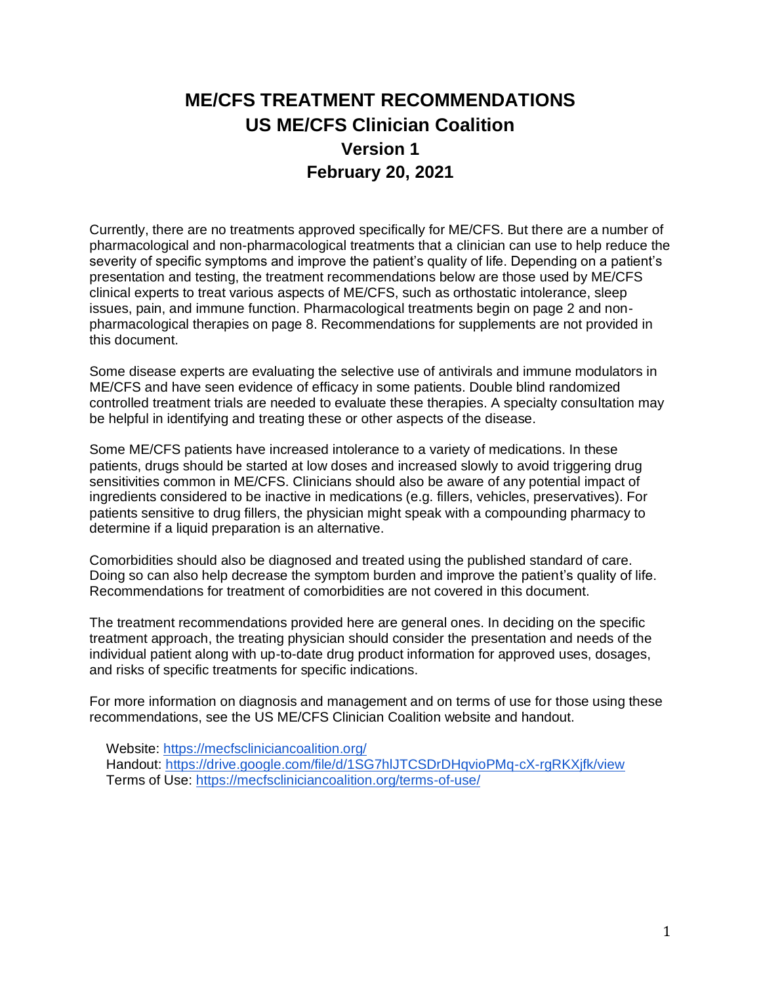# **ME/CFS TREATMENT RECOMMENDATIONS US ME/CFS Clinician Coalition Version 1 February 20, 2021**

Currently, there are no treatments approved specifically for ME/CFS. But there are a number of pharmacological and non-pharmacological treatments that a clinician can use to help reduce the severity of specific symptoms and improve the patient's quality of life. Depending on a patient's presentation and testing, the treatment recommendations below are those used by ME/CFS clinical experts to treat various aspects of ME/CFS, such as orthostatic intolerance, sleep issues, pain, and immune function. Pharmacological treatments begin on page 2 and nonpharmacological therapies on page 8. Recommendations for supplements are not provided in this document.

Some disease experts are evaluating the selective use of antivirals and immune modulators in ME/CFS and have seen evidence of efficacy in some patients. Double blind randomized controlled treatment trials are needed to evaluate these therapies. A specialty consultation may be helpful in identifying and treating these or other aspects of the disease.

Some ME/CFS patients have increased intolerance to a variety of medications. In these patients, drugs should be started at low doses and increased slowly to avoid triggering drug sensitivities common in ME/CFS. Clinicians should also be aware of any potential impact of ingredients considered to be inactive in medications (e.g. fillers, vehicles, preservatives). For patients sensitive to drug fillers, the physician might speak with a compounding pharmacy to determine if a liquid preparation is an alternative.

Comorbidities should also be diagnosed and treated using the published standard of care. Doing so can also help decrease the symptom burden and improve the patient's quality of life. Recommendations for treatment of comorbidities are not covered in this document.

The treatment recommendations provided here are general ones. In deciding on the specific treatment approach, the treating physician should consider the presentation and needs of the individual patient along with up-to-date drug product information for approved uses, dosages, and risks of specific treatments for specific indications.

For more information on diagnosis and management and on terms of use for those using these recommendations, see the US ME/CFS Clinician Coalition website and handout.

Website:<https://mecfscliniciancoalition.org/> Handout:<https://drive.google.com/file/d/1SG7hlJTCSDrDHqvioPMq-cX-rgRKXjfk/view> Terms of Use:<https://mecfscliniciancoalition.org/terms-of-use/>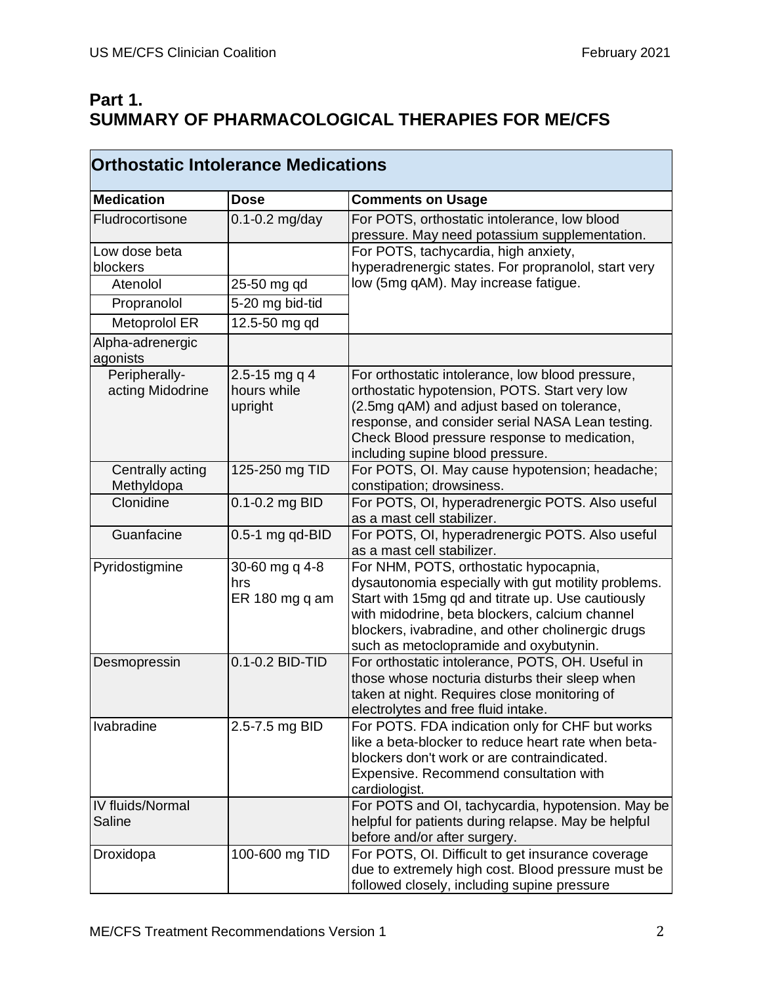$\mathbf{r}$ 

## **Part 1. SUMMARY OF PHARMACOLOGICAL THERAPIES FOR ME/CFS**

| <b>Medication</b>                 | <b>Dose</b>                             | <b>Comments on Usage</b>                                                                                                                                                                                                                                                                            |
|-----------------------------------|-----------------------------------------|-----------------------------------------------------------------------------------------------------------------------------------------------------------------------------------------------------------------------------------------------------------------------------------------------------|
| Fludrocortisone                   | $0.1 - 0.2$ mg/day                      | For POTS, orthostatic intolerance, low blood<br>pressure. May need potassium supplementation.                                                                                                                                                                                                       |
| Low dose beta<br>blockers         |                                         | For POTS, tachycardia, high anxiety,<br>hyperadrenergic states. For propranolol, start very                                                                                                                                                                                                         |
| Atenolol                          | 25-50 mg qd                             | low (5mg qAM). May increase fatigue.                                                                                                                                                                                                                                                                |
| Propranolol                       | 5-20 mg bid-tid                         |                                                                                                                                                                                                                                                                                                     |
| Metoprolol ER                     | 12.5-50 mg gd                           |                                                                                                                                                                                                                                                                                                     |
| Alpha-adrenergic<br>agonists      |                                         |                                                                                                                                                                                                                                                                                                     |
| Peripherally-<br>acting Midodrine | 2.5-15 mg q 4<br>hours while<br>upright | For orthostatic intolerance, low blood pressure,<br>orthostatic hypotension, POTS. Start very low<br>(2.5mg qAM) and adjust based on tolerance,<br>response, and consider serial NASA Lean testing.<br>Check Blood pressure response to medication,<br>including supine blood pressure.             |
| Centrally acting<br>Methyldopa    | 125-250 mg TID                          | For POTS, OI. May cause hypotension; headache;<br>constipation; drowsiness.                                                                                                                                                                                                                         |
| Clonidine                         | 0.1-0.2 mg BID                          | For POTS, OI, hyperadrenergic POTS. Also useful<br>as a mast cell stabilizer.                                                                                                                                                                                                                       |
| Guanfacine                        | $0.5-1$ mg qd-BID                       | For POTS, OI, hyperadrenergic POTS. Also useful<br>as a mast cell stabilizer.                                                                                                                                                                                                                       |
| Pyridostigmine                    | 30-60 mg q 4-8<br>hrs<br>ER 180 mg q am | For NHM, POTS, orthostatic hypocapnia,<br>dysautonomia especially with gut motility problems.<br>Start with 15mg qd and titrate up. Use cautiously<br>with midodrine, beta blockers, calcium channel<br>blockers, ivabradine, and other cholinergic drugs<br>such as metoclopramide and oxybutynin. |
| Desmopressin                      | 0.1-0.2 BID-TID                         | For orthostatic intolerance, POTS, OH. Useful in<br>those whose nocturia disturbs their sleep when<br>taken at night. Requires close monitoring of<br>electrolytes and free fluid intake.                                                                                                           |
| Ivabradine                        | 2.5-7.5 mg BID                          | For POTS. FDA indication only for CHF but works<br>like a beta-blocker to reduce heart rate when beta-<br>blockers don't work or are contraindicated.<br>Expensive. Recommend consultation with<br>cardiologist.                                                                                    |
| IV fluids/Normal<br>Saline        |                                         | For POTS and OI, tachycardia, hypotension. May be<br>helpful for patients during relapse. May be helpful<br>before and/or after surgery.                                                                                                                                                            |
| Droxidopa                         | 100-600 mg TID                          | For POTS, OI. Difficult to get insurance coverage<br>due to extremely high cost. Blood pressure must be<br>followed closely, including supine pressure                                                                                                                                              |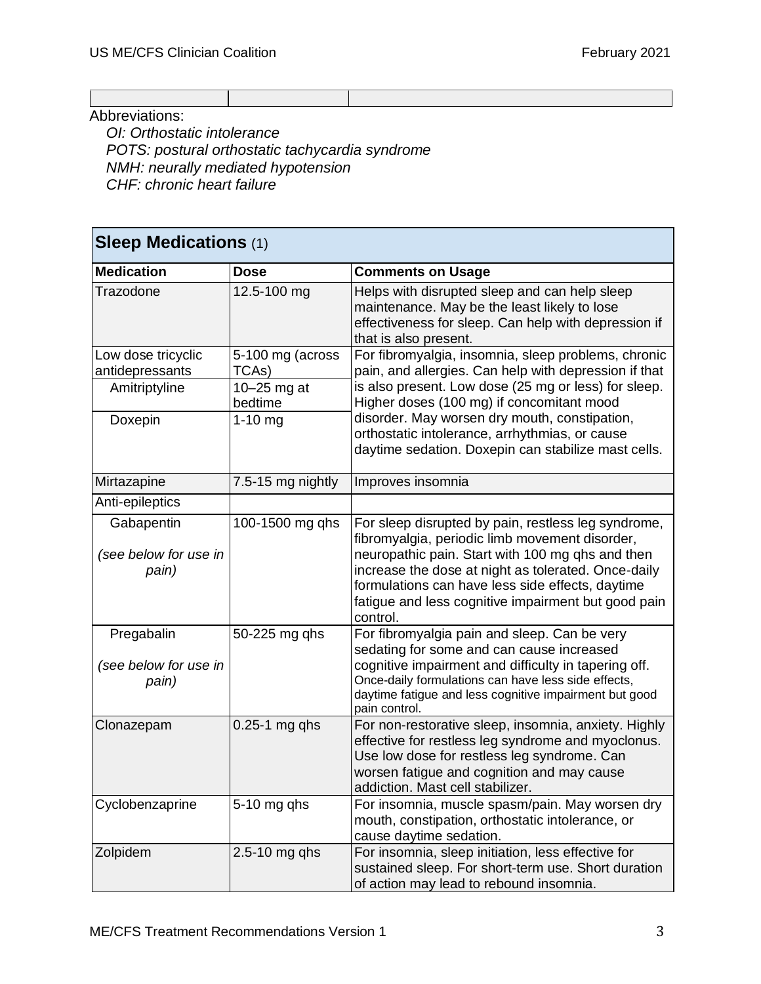Abbreviations:

*OI: Orthostatic intolerance POTS: postural orthostatic tachycardia syndrome NMH: neurally mediated hypotension CHF: chronic heart failure*

| <b>Sleep Medications (1)</b>                 |                          |                                                                                                                                                                                                                                                                                                                                         |
|----------------------------------------------|--------------------------|-----------------------------------------------------------------------------------------------------------------------------------------------------------------------------------------------------------------------------------------------------------------------------------------------------------------------------------------|
| <b>Medication</b>                            | <b>Dose</b>              | <b>Comments on Usage</b>                                                                                                                                                                                                                                                                                                                |
| Trazodone                                    | 12.5-100 mg              | Helps with disrupted sleep and can help sleep<br>maintenance. May be the least likely to lose<br>effectiveness for sleep. Can help with depression if<br>that is also present.                                                                                                                                                          |
| Low dose tricyclic                           | 5-100 mg (across         | For fibromyalgia, insomnia, sleep problems, chronic                                                                                                                                                                                                                                                                                     |
| antidepressants                              | TCAs)                    | pain, and allergies. Can help with depression if that                                                                                                                                                                                                                                                                                   |
| Amitriptyline                                | $10-25$ mg at<br>bedtime | is also present. Low dose (25 mg or less) for sleep.<br>Higher doses (100 mg) if concomitant mood                                                                                                                                                                                                                                       |
| Doxepin                                      | $1-10$ mg                | disorder. May worsen dry mouth, constipation,<br>orthostatic intolerance, arrhythmias, or cause<br>daytime sedation. Doxepin can stabilize mast cells.                                                                                                                                                                                  |
| Mirtazapine                                  | 7.5-15 mg nightly        | Improves insomnia                                                                                                                                                                                                                                                                                                                       |
| Anti-epileptics                              |                          |                                                                                                                                                                                                                                                                                                                                         |
| Gabapentin<br>(see below for use in<br>pain) | 100-1500 mg qhs          | For sleep disrupted by pain, restless leg syndrome,<br>fibromyalgia, periodic limb movement disorder,<br>neuropathic pain. Start with 100 mg qhs and then<br>increase the dose at night as tolerated. Once-daily<br>formulations can have less side effects, daytime<br>fatigue and less cognitive impairment but good pain<br>control. |
| Pregabalin<br>(see below for use in<br>pain) | 50-225 mg qhs            | For fibromyalgia pain and sleep. Can be very<br>sedating for some and can cause increased<br>cognitive impairment and difficulty in tapering off.<br>Once-daily formulations can have less side effects,<br>daytime fatigue and less cognitive impairment but good<br>pain control.                                                     |
| Clonazepam                                   | $0.25-1$ mg qhs          | For non-restorative sleep, insomnia, anxiety. Highly<br>effective for restless leg syndrome and myoclonus.<br>Use low dose for restless leg syndrome. Can<br>worsen fatigue and cognition and may cause<br>addiction. Mast cell stabilizer.                                                                                             |
| Cyclobenzaprine                              | $5-10$ mg qhs            | For insomnia, muscle spasm/pain. May worsen dry<br>mouth, constipation, orthostatic intolerance, or<br>cause daytime sedation.                                                                                                                                                                                                          |
| Zolpidem                                     | $2.5 - 10$ mg qhs        | For insomnia, sleep initiation, less effective for<br>sustained sleep. For short-term use. Short duration<br>of action may lead to rebound insomnia.                                                                                                                                                                                    |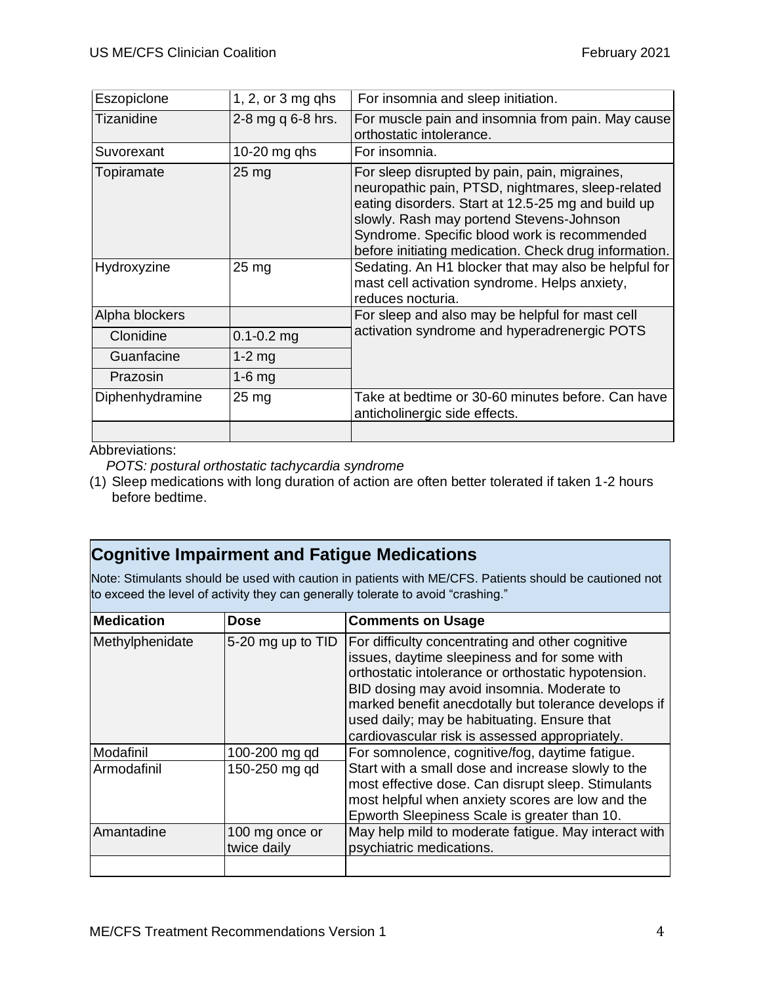| Eszopiclone     | 1, 2, or $3$ mg qhs | For insomnia and sleep initiation.                                                                                                                                                                                                                                                                            |
|-----------------|---------------------|---------------------------------------------------------------------------------------------------------------------------------------------------------------------------------------------------------------------------------------------------------------------------------------------------------------|
| Tizanidine      | 2-8 mg q 6-8 hrs.   | For muscle pain and insomnia from pain. May cause<br>orthostatic intolerance.                                                                                                                                                                                                                                 |
| Suvorexant      | 10-20 $mg$ qhs      | For insomnia.                                                                                                                                                                                                                                                                                                 |
| Topiramate      | $25 \text{ mg}$     | For sleep disrupted by pain, pain, migraines,<br>neuropathic pain, PTSD, nightmares, sleep-related<br>eating disorders. Start at 12.5-25 mg and build up<br>slowly. Rash may portend Stevens-Johnson<br>Syndrome. Specific blood work is recommended<br>before initiating medication. Check drug information. |
| Hydroxyzine     | $25 \, mg$          | Sedating. An H1 blocker that may also be helpful for<br>mast cell activation syndrome. Helps anxiety,<br>reduces nocturia.                                                                                                                                                                                    |
| Alpha blockers  |                     | For sleep and also may be helpful for mast cell                                                                                                                                                                                                                                                               |
| Clonidine       | $0.1 - 0.2$ mg      | activation syndrome and hyperadrenergic POTS                                                                                                                                                                                                                                                                  |
| Guanfacine      | $1-2$ mg            |                                                                                                                                                                                                                                                                                                               |
| Prazosin        | $1-6$ mg            |                                                                                                                                                                                                                                                                                                               |
| Diphenhydramine | $25 \,\mathrm{mg}$  | Take at bedtime or 30-60 minutes before. Can have<br>anticholinergic side effects.                                                                                                                                                                                                                            |
|                 |                     |                                                                                                                                                                                                                                                                                                               |

Abbreviations:

*POTS: postural orthostatic tachycardia syndrome*

(1) Sleep medications with long duration of action are often better tolerated if taken 1-2 hours before bedtime.

## **Cognitive Impairment and Fatigue Medications**

Note: Stimulants should be used with caution in patients with ME/CFS. Patients should be cautioned not to exceed the level of activity they can generally tolerate to avoid "crashing."

| <b>Medication</b> | <b>Dose</b>                   | <b>Comments on Usage</b>                                                                                                                                                                                                                                                                                                                                       |
|-------------------|-------------------------------|----------------------------------------------------------------------------------------------------------------------------------------------------------------------------------------------------------------------------------------------------------------------------------------------------------------------------------------------------------------|
| Methylphenidate   | 5-20 mg up to TID             | For difficulty concentrating and other cognitive<br>issues, daytime sleepiness and for some with<br>orthostatic intolerance or orthostatic hypotension.<br>BID dosing may avoid insomnia. Moderate to<br>marked benefit anecdotally but tolerance develops if<br>used daily; may be habituating. Ensure that<br>cardiovascular risk is assessed appropriately. |
| Modafinil         | 100-200 mg qd                 | For somnolence, cognitive/fog, daytime fatigue.                                                                                                                                                                                                                                                                                                                |
| Armodafinil       | 150-250 mg qd                 | Start with a small dose and increase slowly to the<br>most effective dose. Can disrupt sleep. Stimulants<br>most helpful when anxiety scores are low and the<br>Epworth Sleepiness Scale is greater than 10.                                                                                                                                                   |
| Amantadine        | 100 mg once or<br>twice daily | May help mild to moderate fatigue. May interact with<br>psychiatric medications.                                                                                                                                                                                                                                                                               |
|                   |                               |                                                                                                                                                                                                                                                                                                                                                                |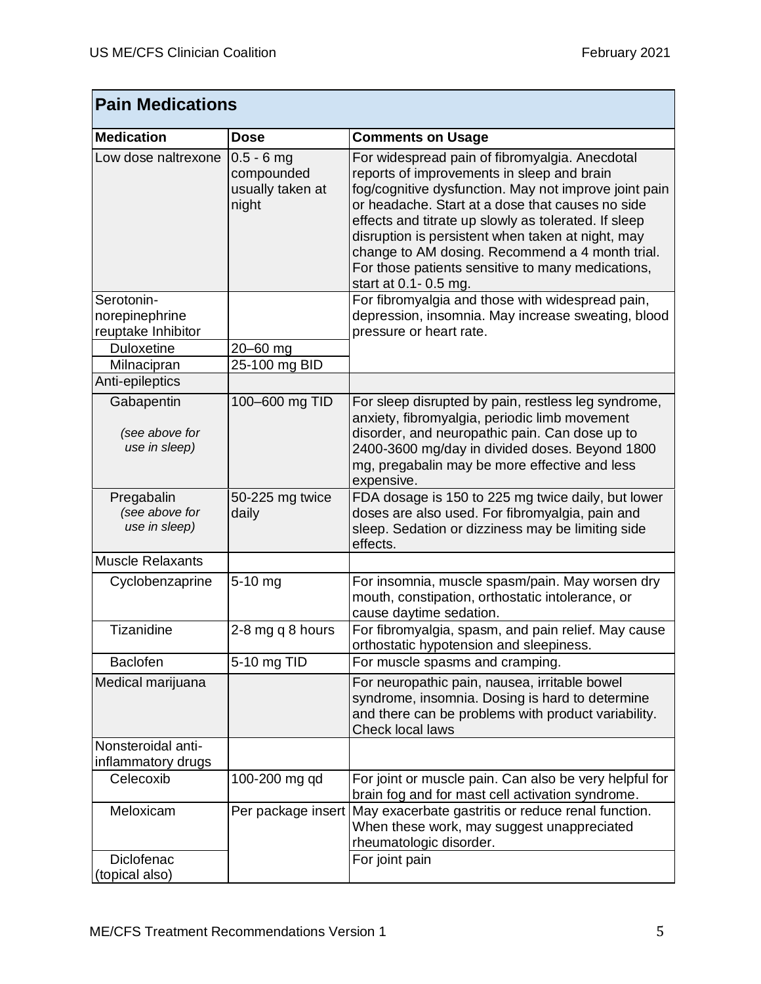| <b>Pain Medications</b>                       |                                                         |                                                                                                                                                                                                                                                                                                                                                                                                                                                          |
|-----------------------------------------------|---------------------------------------------------------|----------------------------------------------------------------------------------------------------------------------------------------------------------------------------------------------------------------------------------------------------------------------------------------------------------------------------------------------------------------------------------------------------------------------------------------------------------|
| <b>Medication</b>                             | <b>Dose</b>                                             | <b>Comments on Usage</b>                                                                                                                                                                                                                                                                                                                                                                                                                                 |
| Low dose naltrexone                           | $0.5 - 6$ mg<br>compounded<br>usually taken at<br>night | For widespread pain of fibromyalgia. Anecdotal<br>reports of improvements in sleep and brain<br>fog/cognitive dysfunction. May not improve joint pain<br>or headache. Start at a dose that causes no side<br>effects and titrate up slowly as tolerated. If sleep<br>disruption is persistent when taken at night, may<br>change to AM dosing. Recommend a 4 month trial.<br>For those patients sensitive to many medications,<br>start at 0.1 - 0.5 mg. |
| Serotonin-                                    |                                                         | For fibromyalgia and those with widespread pain,                                                                                                                                                                                                                                                                                                                                                                                                         |
| norepinephrine                                |                                                         | depression, insomnia. May increase sweating, blood                                                                                                                                                                                                                                                                                                                                                                                                       |
| reuptake Inhibitor                            |                                                         | pressure or heart rate.                                                                                                                                                                                                                                                                                                                                                                                                                                  |
| <b>Duloxetine</b>                             | 20-60 mg                                                |                                                                                                                                                                                                                                                                                                                                                                                                                                                          |
| Milnacipran<br>Anti-epileptics                | 25-100 mg BID                                           |                                                                                                                                                                                                                                                                                                                                                                                                                                                          |
|                                               |                                                         |                                                                                                                                                                                                                                                                                                                                                                                                                                                          |
| Gabapentin<br>(see above for<br>use in sleep) | 100-600 mg TID                                          | For sleep disrupted by pain, restless leg syndrome,<br>anxiety, fibromyalgia, periodic limb movement<br>disorder, and neuropathic pain. Can dose up to<br>2400-3600 mg/day in divided doses. Beyond 1800<br>mg, pregabalin may be more effective and less<br>expensive.                                                                                                                                                                                  |
| Pregabalin<br>(see above for<br>use in sleep) | 50-225 mg twice<br>daily                                | FDA dosage is 150 to 225 mg twice daily, but lower<br>doses are also used. For fibromyalgia, pain and<br>sleep. Sedation or dizziness may be limiting side<br>effects.                                                                                                                                                                                                                                                                                   |
| <b>Muscle Relaxants</b>                       |                                                         |                                                                                                                                                                                                                                                                                                                                                                                                                                                          |
| Cyclobenzaprine                               | 5-10 mg                                                 | For insomnia, muscle spasm/pain. May worsen dry<br>mouth, constipation, orthostatic intolerance, or<br>cause daytime sedation.                                                                                                                                                                                                                                                                                                                           |
| Tizanidine                                    | 2-8 mg q 8 hours                                        | For fibromyalgia, spasm, and pain relief. May cause<br>orthostatic hypotension and sleepiness.                                                                                                                                                                                                                                                                                                                                                           |
| <b>Baclofen</b>                               | 5-10 mg TID                                             | For muscle spasms and cramping.                                                                                                                                                                                                                                                                                                                                                                                                                          |
| Medical marijuana                             |                                                         | For neuropathic pain, nausea, irritable bowel<br>syndrome, insomnia. Dosing is hard to determine<br>and there can be problems with product variability.<br><b>Check local laws</b>                                                                                                                                                                                                                                                                       |
| Nonsteroidal anti-                            |                                                         |                                                                                                                                                                                                                                                                                                                                                                                                                                                          |
| inflammatory drugs                            |                                                         |                                                                                                                                                                                                                                                                                                                                                                                                                                                          |
| Celecoxib                                     | 100-200 mg qd                                           | For joint or muscle pain. Can also be very helpful for<br>brain fog and for mast cell activation syndrome.                                                                                                                                                                                                                                                                                                                                               |
| Meloxicam                                     | Per package insert                                      | May exacerbate gastritis or reduce renal function.<br>When these work, may suggest unappreciated<br>rheumatologic disorder.                                                                                                                                                                                                                                                                                                                              |
| <b>Diclofenac</b><br>(topical also)           |                                                         | For joint pain                                                                                                                                                                                                                                                                                                                                                                                                                                           |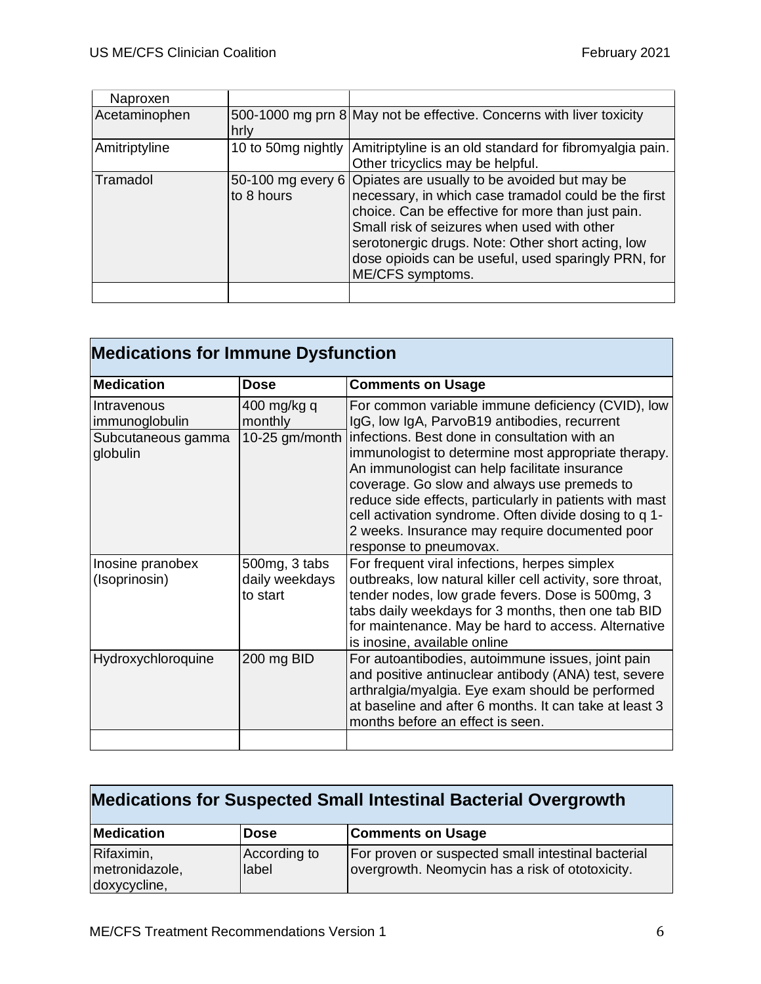| Naproxen      |            |                                                                                                                                                                                                                                                                                                                                                            |
|---------------|------------|------------------------------------------------------------------------------------------------------------------------------------------------------------------------------------------------------------------------------------------------------------------------------------------------------------------------------------------------------------|
| Acetaminophen | hrly       | 500-1000 mg prn 8 May not be effective. Concerns with liver toxicity                                                                                                                                                                                                                                                                                       |
| Amitriptyline |            | 10 to 50mg nightly Amitriptyline is an old standard for fibromyalgia pain.<br>Other tricyclics may be helpful.                                                                                                                                                                                                                                             |
| Tramadol      | to 8 hours | 50-100 mg every 6 Opiates are usually to be avoided but may be<br>necessary, in which case tramadol could be the first<br>choice. Can be effective for more than just pain.<br>Small risk of seizures when used with other<br>serotonergic drugs. Note: Other short acting, low<br>dose opioids can be useful, used sparingly PRN, for<br>ME/CFS symptoms. |
|               |            |                                                                                                                                                                                                                                                                                                                                                            |

| <b>Medications for Immune Dysfunction</b>                       |                                             |                                                                                                                                                                                                                                                                                                                                                                                                                                                                                                  |
|-----------------------------------------------------------------|---------------------------------------------|--------------------------------------------------------------------------------------------------------------------------------------------------------------------------------------------------------------------------------------------------------------------------------------------------------------------------------------------------------------------------------------------------------------------------------------------------------------------------------------------------|
| <b>Medication</b>                                               | <b>Dose</b>                                 | <b>Comments on Usage</b>                                                                                                                                                                                                                                                                                                                                                                                                                                                                         |
| Intravenous<br>immunoglobulin<br>Subcutaneous gamma<br>globulin | 400 mg/kg q<br>monthly                      | For common variable immune deficiency (CVID), low<br>IgG, low IgA, ParvoB19 antibodies, recurrent<br>10-25 gm/month   infections. Best done in consultation with an<br>immunologist to determine most appropriate therapy.<br>An immunologist can help facilitate insurance<br>coverage. Go slow and always use premeds to<br>reduce side effects, particularly in patients with mast<br>cell activation syndrome. Often divide dosing to q 1-<br>2 weeks. Insurance may require documented poor |
|                                                                 |                                             | response to pneumovax.                                                                                                                                                                                                                                                                                                                                                                                                                                                                           |
| Inosine pranobex<br>(Isoprinosin)                               | 500mg, 3 tabs<br>daily weekdays<br>to start | For frequent viral infections, herpes simplex<br>outbreaks, low natural killer cell activity, sore throat,<br>tender nodes, low grade fevers. Dose is 500mg, 3<br>tabs daily weekdays for 3 months, then one tab BID<br>for maintenance. May be hard to access. Alternative<br>is inosine, available online                                                                                                                                                                                      |
| Hydroxychloroquine                                              | 200 mg BID                                  | For autoantibodies, autoimmune issues, joint pain<br>and positive antinuclear antibody (ANA) test, severe<br>arthralgia/myalgia. Eye exam should be performed<br>at baseline and after 6 months. It can take at least 3<br>months before an effect is seen.                                                                                                                                                                                                                                      |
|                                                                 |                                             |                                                                                                                                                                                                                                                                                                                                                                                                                                                                                                  |

| <b>Medications for Suspected Small Intestinal Bacterial Overgrowth</b> |                       |                                                                                                       |
|------------------------------------------------------------------------|-----------------------|-------------------------------------------------------------------------------------------------------|
| <b>Medication</b>                                                      | Dose                  | <b>Comments on Usage</b>                                                                              |
| Rifaximin,<br>metronidazole,<br>doxycycline,                           | According to<br>label | For proven or suspected small intestinal bacterial<br>overgrowth. Neomycin has a risk of ototoxicity. |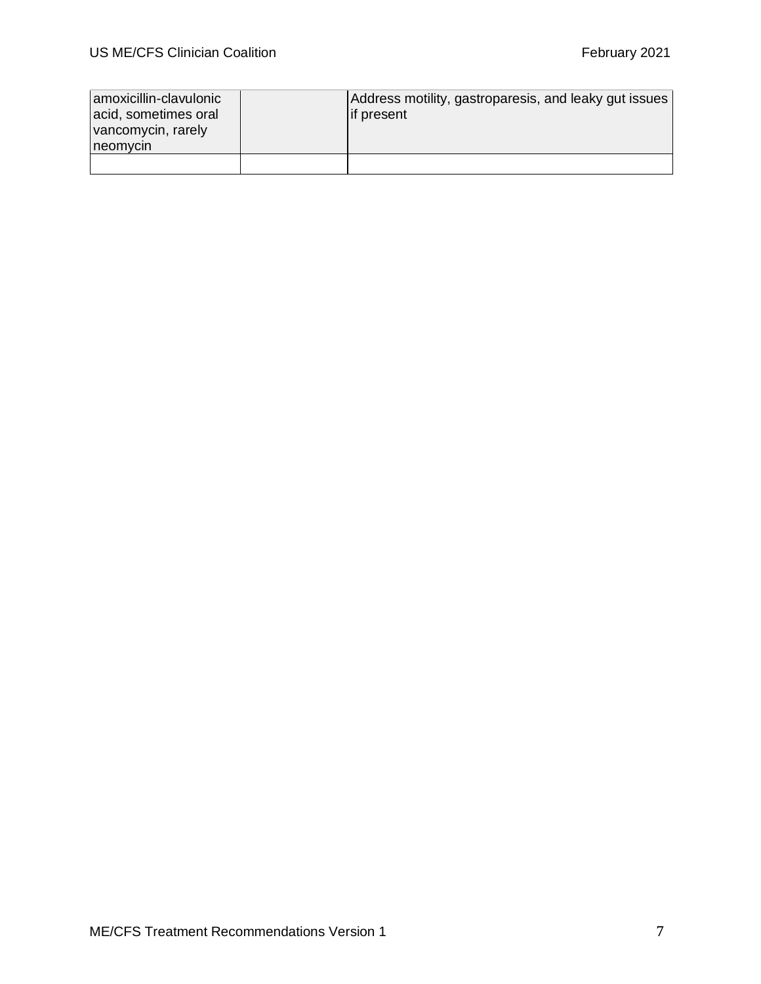| amoxicillin-clavulonic<br>acid, sometimes oral<br>vancomycin, rarely<br>neomycin | Address motility, gastroparesis, and leaky gut issues<br>lif present |
|----------------------------------------------------------------------------------|----------------------------------------------------------------------|
|                                                                                  |                                                                      |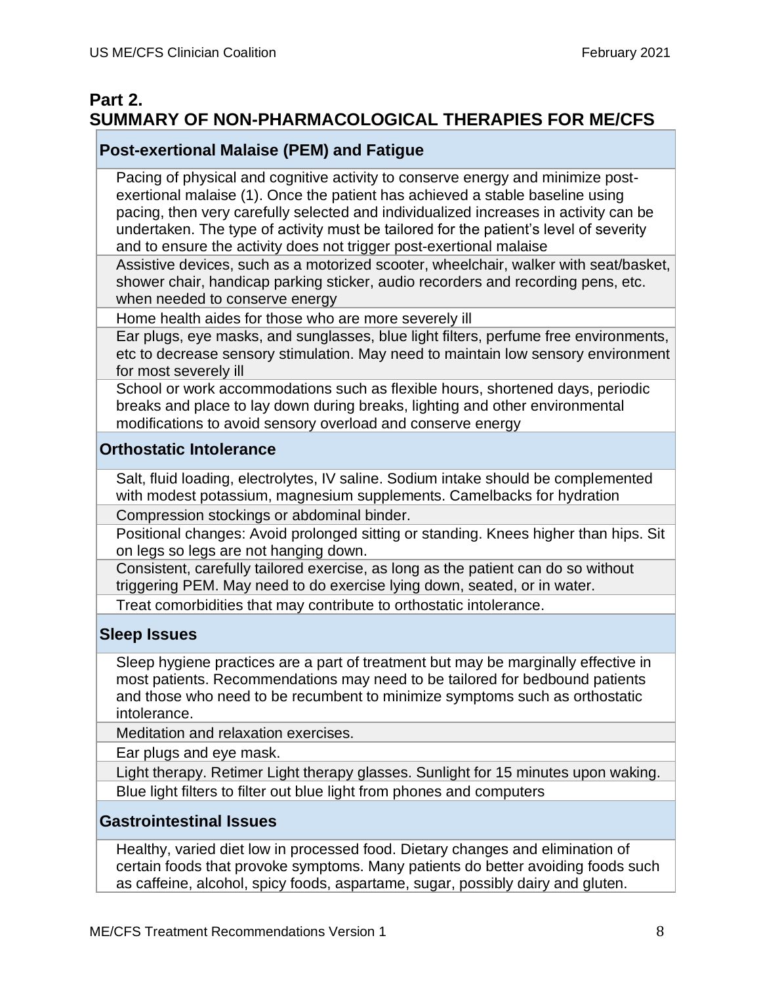# **Part 2. SUMMARY OF NON-PHARMACOLOGICAL THERAPIES FOR ME/CFS**

### **Post-exertional Malaise (PEM) and Fatigue**

Pacing of physical and cognitive activity to conserve energy and minimize postexertional malaise (1). Once the patient has achieved a stable baseline using pacing, then very carefully selected and individualized increases in activity can be undertaken. The type of activity must be tailored for the patient's level of severity and to ensure the activity does not trigger post-exertional malaise

Assistive devices, such as a motorized scooter, wheelchair, walker with seat/basket, shower chair, handicap parking sticker, audio recorders and recording pens, etc. when needed to conserve energy

Home health aides for those who are more severely ill

Ear plugs, eye masks, and sunglasses, blue light filters, perfume free environments, etc to decrease sensory stimulation. May need to maintain low sensory environment for most severely ill

School or work accommodations such as flexible hours, shortened days, periodic breaks and place to lay down during breaks, lighting and other environmental modifications to avoid sensory overload and conserve energy

#### **Orthostatic Intolerance**

Salt, fluid loading, electrolytes, IV saline. Sodium intake should be complemented with modest potassium, magnesium supplements. Camelbacks for hydration

Compression stockings or abdominal binder.

Positional changes: Avoid prolonged sitting or standing. Knees higher than hips. Sit on legs so legs are not hanging down.

Consistent, carefully tailored exercise, as long as the patient can do so without triggering PEM. May need to do exercise lying down, seated, or in water.

Treat comorbidities that may contribute to orthostatic intolerance.

### **Sleep Issues**

Sleep hygiene practices are a part of treatment but may be marginally effective in most patients. Recommendations may need to be tailored for bedbound patients and those who need to be recumbent to minimize symptoms such as orthostatic intolerance.

Meditation and relaxation exercises.

Ear plugs and eye mask.

Light therapy. Retimer Light therapy glasses. Sunlight for 15 minutes upon waking. Blue light filters to filter out blue light from phones and computers

#### **Gastrointestinal Issues**

Healthy, varied diet low in processed food. Dietary changes and elimination of certain foods that provoke symptoms. Many patients do better avoiding foods such as caffeine, alcohol, spicy foods, aspartame, sugar, possibly dairy and gluten.